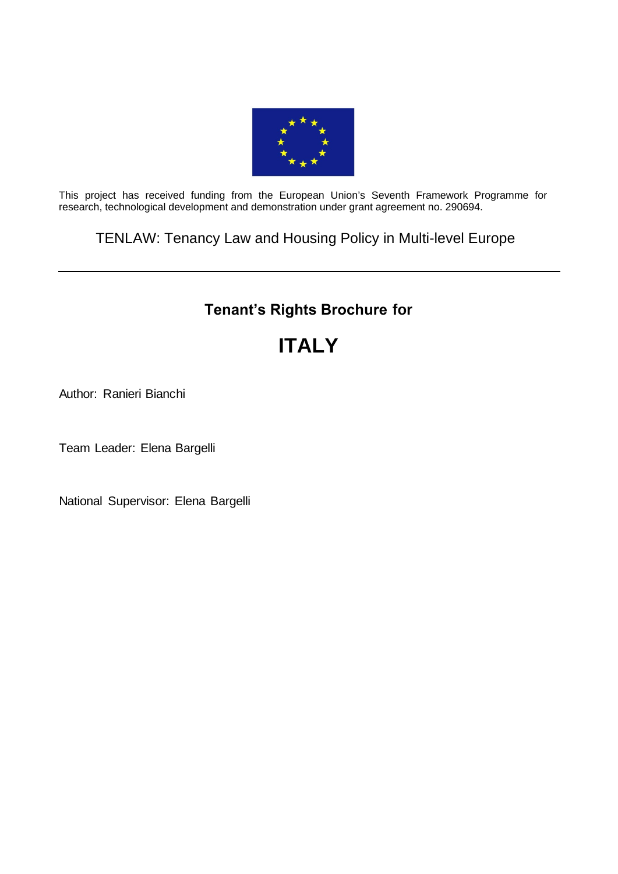

This project has received funding from the European Union's Seventh Framework Programme for research, technological development and demonstration under grant agreement no. 290694.

TENLAW: Tenancy Law and Housing Policy in Multi-level Europe

# **Tenant's Rights Brochure for**

# **ITALY**

Author: Ranieri Bianchi

Team Leader: Elena Bargelli

National Supervisor: Elena Bargelli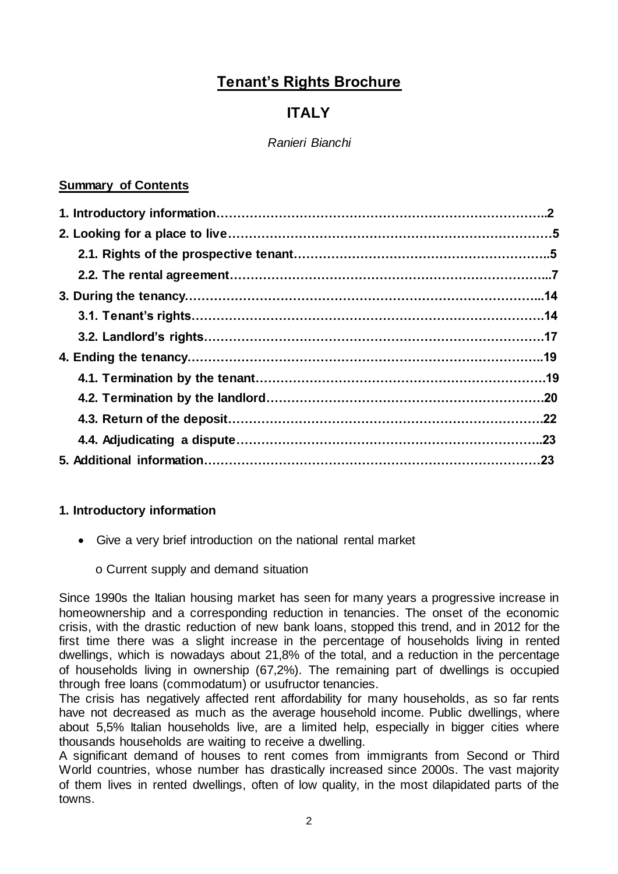# **Tenant's Rights Brochure**

# **ITALY**

# *Ranieri Bianchi*

# **Summary of Contents**

# **1. Introductory information**

- Give a very brief introduction on the national rental market
	- o Current supply and demand situation

Since 1990s the Italian housing market has seen for many years a progressive increase in homeownership and a corresponding reduction in tenancies. The onset of the economic crisis, with the drastic reduction of new bank loans, stopped this trend, and in 2012 for the first time there was a slight increase in the percentage of households living in rented dwellings, which is nowadays about 21,8% of the total, and a reduction in the percentage of households living in ownership (67,2%). The remaining part of dwellings is occupied through free loans (commodatum) or usufructor tenancies.

The crisis has negatively affected rent affordability for many households, as so far rents have not decreased as much as the average household income. Public dwellings, where about 5,5% Italian households live, are a limited help, especially in bigger cities where thousands households are waiting to receive a dwelling.

A significant demand of houses to rent comes from immigrants from Second or Third World countries, whose number has drastically increased since 2000s. The vast majority of them lives in rented dwellings, often of low quality, in the most dilapidated parts of the towns.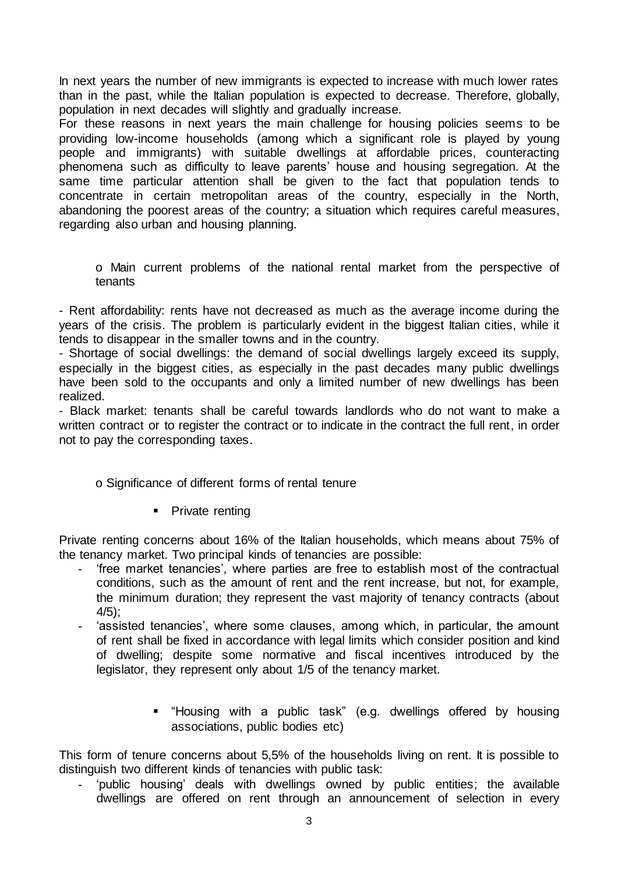In next years the number of new immigrants is expected to increase with much lower rates than in the past, while the Italian population is expected to decrease. Therefore, globally, population in next decades will slightly and gradually increase.

For these reasons in next years the main challenge for housing policies seems to be providing low-income households (among which a significant role is played by young people and immigrants) with suitable dwellings at affordable prices, counteracting phenomena such as difficulty to leave parents' house and housing segregation. At the same time particular attention shall be given to the fact that population tends to concentrate in certain metropolitan areas of the country, especially in the North, abandoning the poorest areas of the country; a situation which requires careful measures, regarding also urban and housing planning.

o Main current problems of the national rental market from the perspective of tenants

- Rent affordability: rents have not decreased as much as the average income during the years of the crisis. The problem is particularly evident in the biggest Italian cities, while it tends to disappear in the smaller towns and in the country.

- Shortage of social dwellings: the demand of social dwellings largely exceed its supply, especially in the biggest cities, as especially in the past decades many public dwellings have been sold to the occupants and only a limited number of new dwellings has been realized.

- Black market: tenants shall be careful towards landlords who do not want to make a written contract or to register the contract or to indicate in the contract the full rent, in order not to pay the corresponding taxes.

#### o Significance of different forms of rental tenure

#### • Private renting

Private renting concerns about 16% of the Italian households, which means about 75% of the tenancy market. Two principal kinds of tenancies are possible:

- 'free market tenancies', where parties are free to establish most of the contractual conditions, such as the amount of rent and the rent increase, but not, for example, the minimum duration; they represent the vast majority of tenancy contracts (about  $4/5$ :
- 'assisted tenancies', where some clauses, among which, in particular, the amount of rent shall be fixed in accordance with legal limits which consider position and kind of dwelling; despite some normative and fiscal incentives introduced by the legislator, they represent only about 1/5 of the tenancy market.
	- "Housing with a public task" (e.g. dwellings offered by housing associations, public bodies etc)

This form of tenure concerns about 5,5% of the households living on rent. It is possible to distinguish two different kinds of tenancies with public task:

'public housing' deals with dwellings owned by public entities; the available dwellings are offered on rent through an announcement of selection in every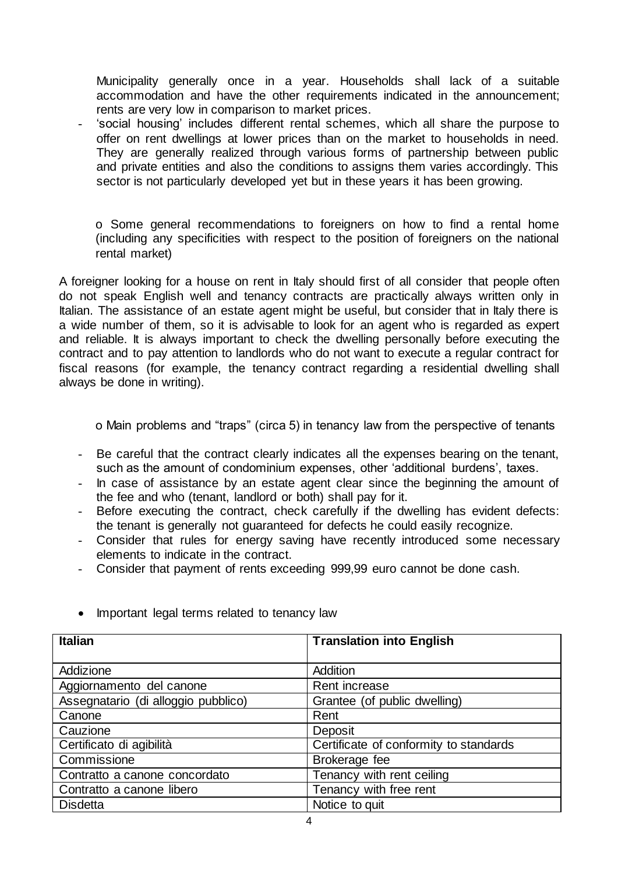Municipality generally once in a year. Households shall lack of a suitable accommodation and have the other requirements indicated in the announcement; rents are very low in comparison to market prices.

- 'social housing' includes different rental schemes, which all share the purpose to offer on rent dwellings at lower prices than on the market to households in need. They are generally realized through various forms of partnership between public and private entities and also the conditions to assigns them varies accordingly. This sector is not particularly developed yet but in these years it has been growing.

o Some general recommendations to foreigners on how to find a rental home (including any specificities with respect to the position of foreigners on the national rental market)

A foreigner looking for a house on rent in Italy should first of all consider that people often do not speak English well and tenancy contracts are practically always written only in Italian. The assistance of an estate agent might be useful, but consider that in Italy there is a wide number of them, so it is advisable to look for an agent who is regarded as expert and reliable. It is always important to check the dwelling personally before executing the contract and to pay attention to landlords who do not want to execute a regular contract for fiscal reasons (for example, the tenancy contract regarding a residential dwelling shall always be done in writing).

o Main problems and "traps" (circa 5) in tenancy law from the perspective of tenants

- Be careful that the contract clearly indicates all the expenses bearing on the tenant, such as the amount of condominium expenses, other 'additional burdens', taxes.
- In case of assistance by an estate agent clear since the beginning the amount of the fee and who (tenant, landlord or both) shall pay for it.
- Before executing the contract, check carefully if the dwelling has evident defects: the tenant is generally not guaranteed for defects he could easily recognize.
- Consider that rules for energy saving have recently introduced some necessary elements to indicate in the contract.
- Consider that payment of rents exceeding 999,99 euro cannot be done cash.

| <b>Italian</b>                      | <b>Translation into English</b>        |
|-------------------------------------|----------------------------------------|
|                                     |                                        |
| Addizione                           | Addition                               |
| Aggiornamento del canone            | Rent increase                          |
| Assegnatario (di alloggio pubblico) | Grantee (of public dwelling)           |
| Canone                              | Rent                                   |
| Cauzione                            | Deposit                                |
| Certificato di agibilità            | Certificate of conformity to standards |
| Commissione                         | Brokerage fee                          |
| Contratto a canone concordato       | Tenancy with rent ceiling              |
| Contratto a canone libero           | Tenancy with free rent                 |
| <b>Disdetta</b>                     | Notice to quit                         |

• Important legal terms related to tenancy law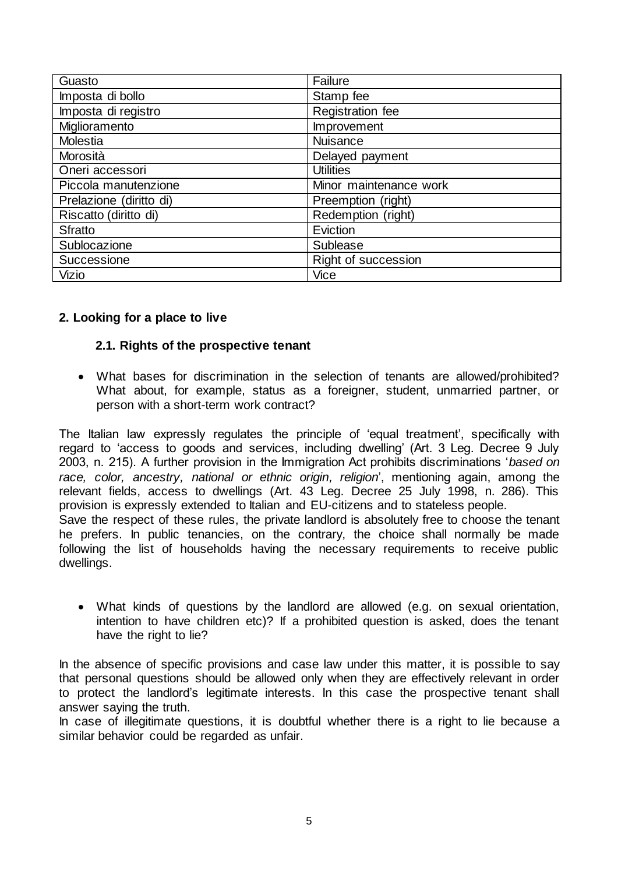| Guasto                  | Failure                |
|-------------------------|------------------------|
| Imposta di bollo        | Stamp fee              |
| Imposta di registro     | Registration fee       |
| Miglioramento           | Improvement            |
| Molestia                | <b>Nuisance</b>        |
| Morosità                | Delayed payment        |
| Oneri accessori         | <b>Utilities</b>       |
| Piccola manutenzione    | Minor maintenance work |
| Prelazione (diritto di) | Preemption (right)     |
| Riscatto (diritto di)   | Redemption (right)     |
| Sfratto                 | Eviction               |
| Sublocazione            | Sublease               |
| Successione             | Right of succession    |
| <b>Vizio</b>            | Vice                   |

#### **2. Looking for a place to live**

#### **2.1. Rights of the prospective tenant**

 What bases for discrimination in the selection of tenants are allowed/prohibited? What about, for example, status as a foreigner, student, unmarried partner, or person with a short-term work contract?

The Italian law expressly regulates the principle of 'equal treatment', specifically with regard to 'access to goods and services, including dwelling' (Art. 3 Leg. Decree 9 July 2003, n. 215). A further provision in the Immigration Act prohibits discriminations '*based on race, color, ancestry, national or ethnic origin, religion*', mentioning again, among the relevant fields, access to dwellings (Art. 43 Leg. Decree 25 July 1998, n. 286). This provision is expressly extended to Italian and EU-citizens and to stateless people. Save the respect of these rules, the private landlord is absolutely free to choose the tenant he prefers. In public tenancies, on the contrary, the choice shall normally be made following the list of households having the necessary requirements to receive public dwellings.

 What kinds of questions by the landlord are allowed (e.g. on sexual orientation, intention to have children etc)? If a prohibited question is asked, does the tenant have the right to lie?

In the absence of specific provisions and case law under this matter, it is possible to say that personal questions should be allowed only when they are effectively relevant in order to protect the landlord's legitimate interests. In this case the prospective tenant shall answer saying the truth.

In case of illegitimate questions, it is doubtful whether there is a right to lie because a similar behavior could be regarded as unfair.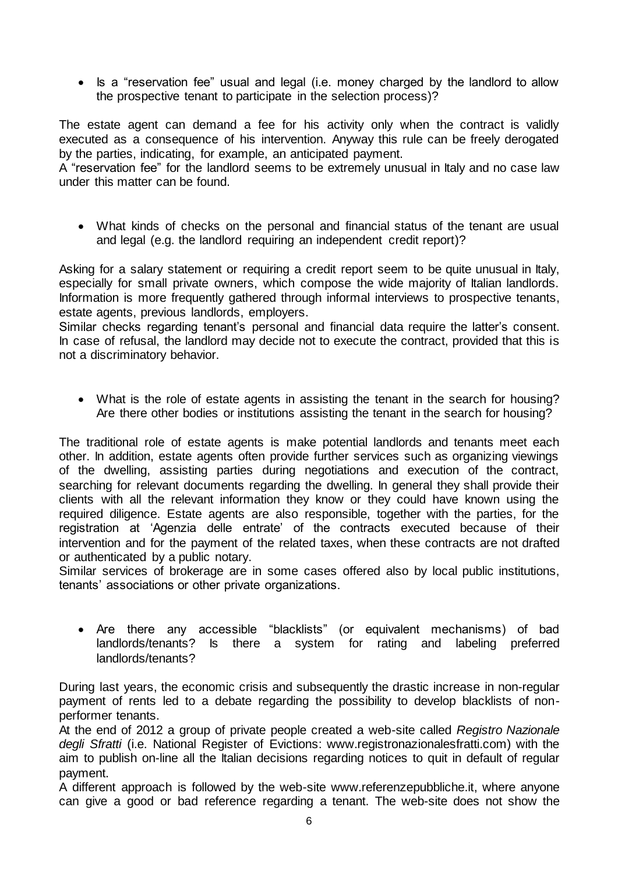• Is a "reservation fee" usual and legal (i.e. money charged by the landlord to allow the prospective tenant to participate in the selection process)?

The estate agent can demand a fee for his activity only when the contract is validly executed as a consequence of his intervention. Anyway this rule can be freely derogated by the parties, indicating, for example, an anticipated payment.

A "reservation fee" for the landlord seems to be extremely unusual in Italy and no case law under this matter can be found.

 What kinds of checks on the personal and financial status of the tenant are usual and legal (e.g. the landlord requiring an independent credit report)?

Asking for a salary statement or requiring a credit report seem to be quite unusual in Italy, especially for small private owners, which compose the wide majority of Italian landlords. Information is more frequently gathered through informal interviews to prospective tenants, estate agents, previous landlords, employers.

Similar checks regarding tenant's personal and financial data require the latter's consent. In case of refusal, the landlord may decide not to execute the contract, provided that this is not a discriminatory behavior.

 What is the role of estate agents in assisting the tenant in the search for housing? Are there other bodies or institutions assisting the tenant in the search for housing?

The traditional role of estate agents is make potential landlords and tenants meet each other. In addition, estate agents often provide further services such as organizing viewings of the dwelling, assisting parties during negotiations and execution of the contract, searching for relevant documents regarding the dwelling. In general they shall provide their clients with all the relevant information they know or they could have known using the required diligence. Estate agents are also responsible, together with the parties, for the registration at 'Agenzia delle entrate' of the contracts executed because of their intervention and for the payment of the related taxes, when these contracts are not drafted or authenticated by a public notary.

Similar services of brokerage are in some cases offered also by local public institutions, tenants' associations or other private organizations.

 Are there any accessible "blacklists" (or equivalent mechanisms) of bad landlords/tenants? Is there a system for rating and labeling preferred landlords/tenants?

During last years, the economic crisis and subsequently the drastic increase in non-regular payment of rents led to a debate regarding the possibility to develop blacklists of nonperformer tenants.

At the end of 2012 a group of private people created a web-site called *Registro Nazionale degli Sfratti* (i.e. National Register of Evictions: www.registronazionalesfratti.com) with the aim to publish on-line all the Italian decisions regarding notices to quit in default of regular payment.

A different approach is followed by the web-sit[e www.referenzepubbliche.it,](http://www.referenzepubbliche.it/) where anyone can give a good or bad reference regarding a tenant. The web-site does not show the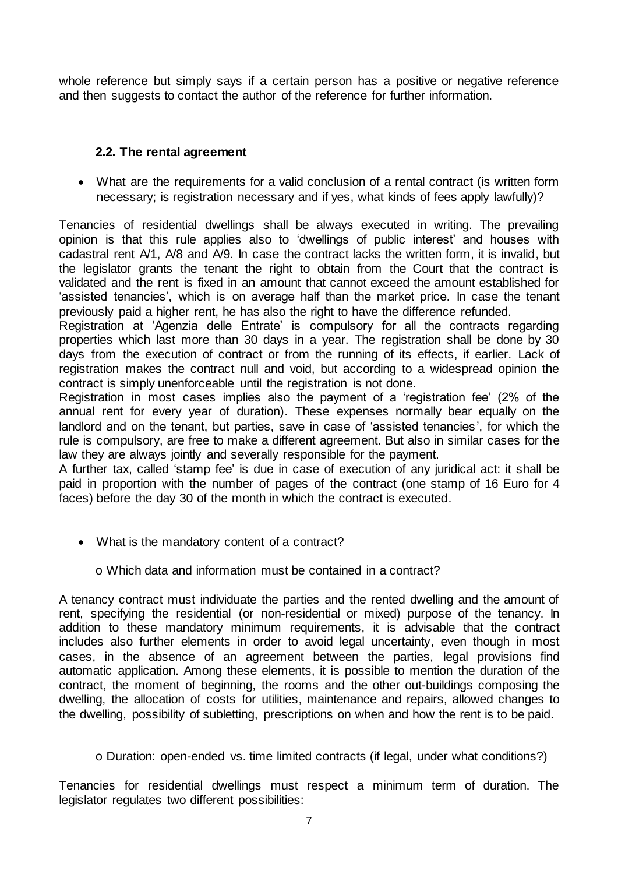whole reference but simply says if a certain person has a positive or negative reference and then suggests to contact the author of the reference for further information.

## **2.2. The rental agreement**

 What are the requirements for a valid conclusion of a rental contract (is written form necessary; is registration necessary and if yes, what kinds of fees apply lawfully)?

Tenancies of residential dwellings shall be always executed in writing. The prevailing opinion is that this rule applies also to 'dwellings of public interest' and houses with cadastral rent A/1, A/8 and A/9. In case the contract lacks the written form, it is invalid, but the legislator grants the tenant the right to obtain from the Court that the contract is validated and the rent is fixed in an amount that cannot exceed the amount established for 'assisted tenancies', which is on average half than the market price. In case the tenant previously paid a higher rent, he has also the right to have the difference refunded.

Registration at 'Agenzia delle Entrate' is compulsory for all the contracts regarding properties which last more than 30 days in a year. The registration shall be done by 30 days from the execution of contract or from the running of its effects, if earlier. Lack of registration makes the contract null and void, but according to a widespread opinion the contract is simply unenforceable until the registration is not done.

Registration in most cases implies also the payment of a 'registration fee' (2% of the annual rent for every year of duration). These expenses normally bear equally on the landlord and on the tenant, but parties, save in case of 'assisted tenancies', for which the rule is compulsory, are free to make a different agreement. But also in similar cases for the law they are always jointly and severally responsible for the payment.

A further tax, called 'stamp fee' is due in case of execution of any juridical act: it shall be paid in proportion with the number of pages of the contract (one stamp of 16 Euro for 4 faces) before the day 30 of the month in which the contract is executed.

• What is the mandatory content of a contract?

o Which data and information must be contained in a contract?

A tenancy contract must individuate the parties and the rented dwelling and the amount of rent, specifying the residential (or non-residential or mixed) purpose of the tenancy. In addition to these mandatory minimum requirements, it is advisable that the contract includes also further elements in order to avoid legal uncertainty, even though in most cases, in the absence of an agreement between the parties, legal provisions find automatic application. Among these elements, it is possible to mention the duration of the contract, the moment of beginning, the rooms and the other out-buildings composing the dwelling, the allocation of costs for utilities, maintenance and repairs, allowed changes to the dwelling, possibility of subletting, prescriptions on when and how the rent is to be paid.

o Duration: open-ended vs. time limited contracts (if legal, under what conditions?)

Tenancies for residential dwellings must respect a minimum term of duration. The legislator regulates two different possibilities: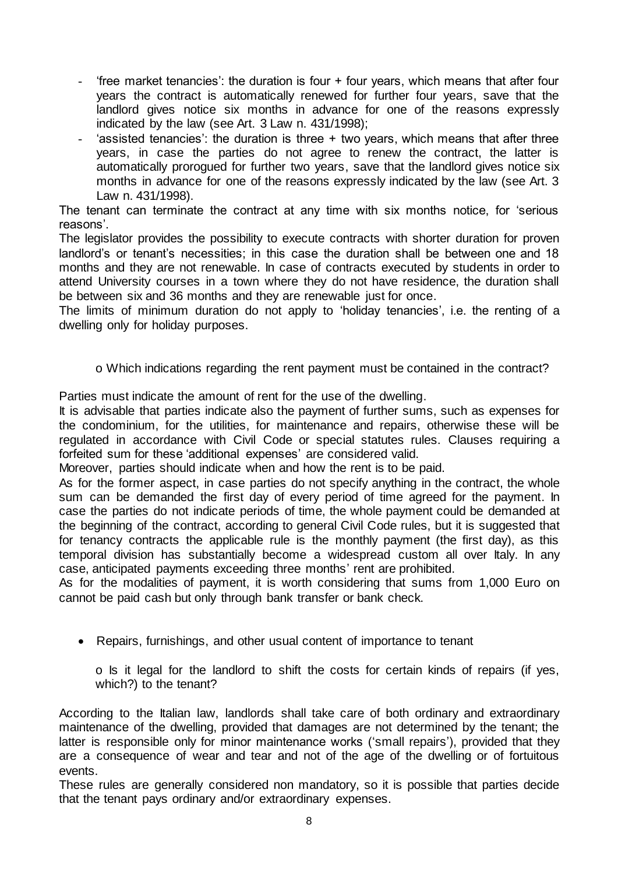- 'free market tenancies': the duration is four + four years, which means that after four years the contract is automatically renewed for further four years, save that the landlord gives notice six months in advance for one of the reasons expressly indicated by the law (see Art. 3 Law n. 431/1998);
- 'assisted tenancies': the duration is three  $+$  two years, which means that after three years, in case the parties do not agree to renew the contract, the latter is automatically prorogued for further two years, save that the landlord gives notice six months in advance for one of the reasons expressly indicated by the law (see Art. 3 Law n. 431/1998).

The tenant can terminate the contract at any time with six months notice, for 'serious reasons'.

The legislator provides the possibility to execute contracts with shorter duration for proven landlord's or tenant's necessities; in this case the duration shall be between one and 18 months and they are not renewable. In case of contracts executed by students in order to attend University courses in a town where they do not have residence, the duration shall be between six and 36 months and they are renewable just for once.

The limits of minimum duration do not apply to 'holiday tenancies', i.e. the renting of a dwelling only for holiday purposes.

# o Which indications regarding the rent payment must be contained in the contract?

Parties must indicate the amount of rent for the use of the dwelling.

It is advisable that parties indicate also the payment of further sums, such as expenses for the condominium, for the utilities, for maintenance and repairs, otherwise these will be regulated in accordance with Civil Code or special statutes rules. Clauses requiring a forfeited sum for these 'additional expenses' are considered valid.

Moreover, parties should indicate when and how the rent is to be paid.

As for the former aspect, in case parties do not specify anything in the contract, the whole sum can be demanded the first day of every period of time agreed for the payment. In case the parties do not indicate periods of time, the whole payment could be demanded at the beginning of the contract, according to general Civil Code rules, but it is suggested that for tenancy contracts the applicable rule is the monthly payment (the first day), as this temporal division has substantially become a widespread custom all over Italy. In any case, anticipated payments exceeding three months' rent are prohibited.

As for the modalities of payment, it is worth considering that sums from 1,000 Euro on cannot be paid cash but only through bank transfer or bank check.

• Repairs, furnishings, and other usual content of importance to tenant

o Is it legal for the landlord to shift the costs for certain kinds of repairs (if yes, which?) to the tenant?

According to the Italian law, landlords shall take care of both ordinary and extraordinary maintenance of the dwelling, provided that damages are not determined by the tenant; the latter is responsible only for minor maintenance works ('small repairs'), provided that they are a consequence of wear and tear and not of the age of the dwelling or of fortuitous events.

These rules are generally considered non mandatory, so it is possible that parties decide that the tenant pays ordinary and/or extraordinary expenses.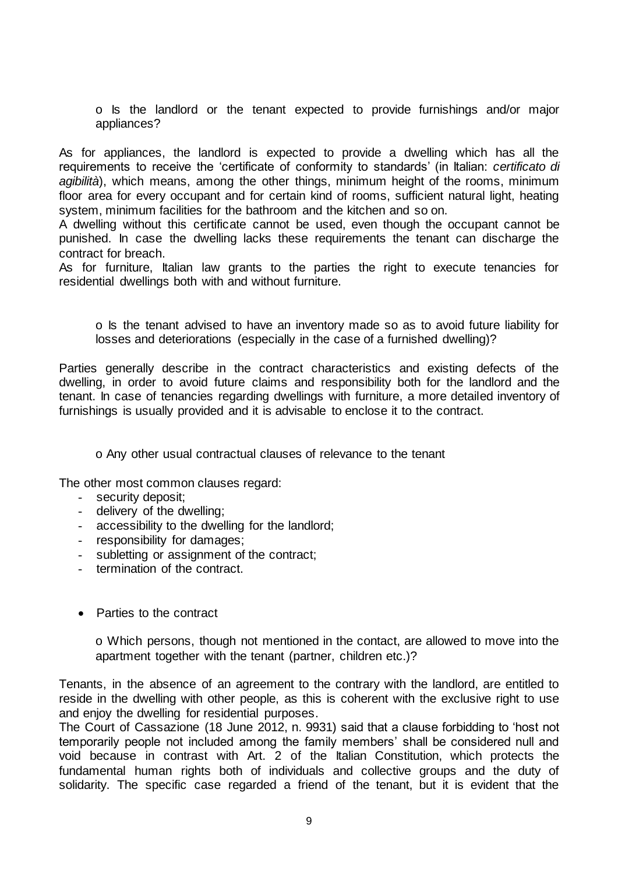o Is the landlord or the tenant expected to provide furnishings and/or major appliances?

As for appliances, the landlord is expected to provide a dwelling which has all the requirements to receive the 'certificate of conformity to standards' (in Italian: *certificato di agibilità*), which means, among the other things, minimum height of the rooms, minimum floor area for every occupant and for certain kind of rooms, sufficient natural light, heating system, minimum facilities for the bathroom and the kitchen and so on.

A dwelling without this certificate cannot be used, even though the occupant cannot be punished. In case the dwelling lacks these requirements the tenant can discharge the contract for breach.

As for furniture, Italian law grants to the parties the right to execute tenancies for residential dwellings both with and without furniture.

o Is the tenant advised to have an inventory made so as to avoid future liability for losses and deteriorations (especially in the case of a furnished dwelling)?

Parties generally describe in the contract characteristics and existing defects of the dwelling, in order to avoid future claims and responsibility both for the landlord and the tenant. In case of tenancies regarding dwellings with furniture, a more detailed inventory of furnishings is usually provided and it is advisable to enclose it to the contract.

o Any other usual contractual clauses of relevance to the tenant

The other most common clauses regard:

- security deposit;
- delivery of the dwelling;
- accessibility to the dwelling for the landlord;
- responsibility for damages;
- subletting or assignment of the contract;
- termination of the contract.
- Parties to the contract

o Which persons, though not mentioned in the contact, are allowed to move into the apartment together with the tenant (partner, children etc.)?

Tenants, in the absence of an agreement to the contrary with the landlord, are entitled to reside in the dwelling with other people, as this is coherent with the exclusive right to use and enjoy the dwelling for residential purposes.

The Court of Cassazione (18 June 2012, n. 9931) said that a clause forbidding to 'host not temporarily people not included among the family members' shall be considered null and void because in contrast with Art. 2 of the Italian Constitution, which protects the fundamental human rights both of individuals and collective groups and the duty of solidarity. The specific case regarded a friend of the tenant, but it is evident that the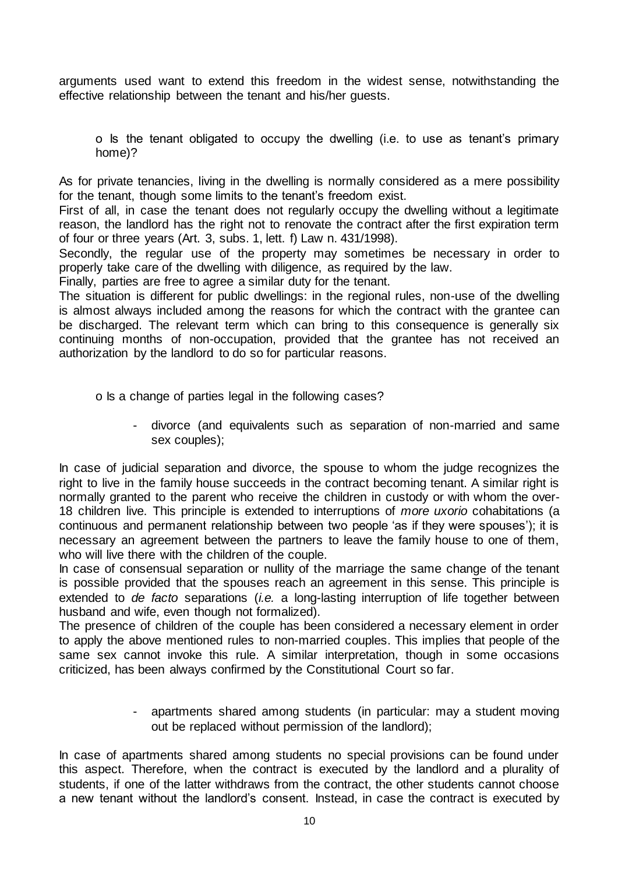arguments used want to extend this freedom in the widest sense, notwithstanding the effective relationship between the tenant and his/her guests.

o Is the tenant obligated to occupy the dwelling (i.e. to use as tenant's primary home)?

As for private tenancies, living in the dwelling is normally considered as a mere possibility for the tenant, though some limits to the tenant's freedom exist.

First of all, in case the tenant does not regularly occupy the dwelling without a legitimate reason, the landlord has the right not to renovate the contract after the first expiration term of four or three years (Art. 3, subs. 1, lett. f) Law n. 431/1998).

Secondly, the regular use of the property may sometimes be necessary in order to properly take care of the dwelling with diligence, as required by the law.

Finally, parties are free to agree a similar duty for the tenant.

The situation is different for public dwellings: in the regional rules, non-use of the dwelling is almost always included among the reasons for which the contract with the grantee can be discharged. The relevant term which can bring to this consequence is generally six continuing months of non-occupation, provided that the grantee has not received an authorization by the landlord to do so for particular reasons.

o Is a change of parties legal in the following cases?

- divorce (and equivalents such as separation of non-married and same sex couples);

In case of judicial separation and divorce, the spouse to whom the judge recognizes the right to live in the family house succeeds in the contract becoming tenant. A similar right is normally granted to the parent who receive the children in custody or with whom the over-18 children live. This principle is extended to interruptions of *more uxorio* cohabitations (a continuous and permanent relationship between two people 'as if they were spouses'); it is necessary an agreement between the partners to leave the family house to one of them, who will live there with the children of the couple.

In case of consensual separation or nullity of the marriage the same change of the tenant is possible provided that the spouses reach an agreement in this sense. This principle is extended to *de facto* separations (*i.e.* a long-lasting interruption of life together between husband and wife, even though not formalized).

The presence of children of the couple has been considered a necessary element in order to apply the above mentioned rules to non-married couples. This implies that people of the same sex cannot invoke this rule. A similar interpretation, though in some occasions criticized, has been always confirmed by the Constitutional Court so far.

> - apartments shared among students (in particular: may a student moving out be replaced without permission of the landlord);

In case of apartments shared among students no special provisions can be found under this aspect. Therefore, when the contract is executed by the landlord and a plurality of students, if one of the latter withdraws from the contract, the other students cannot choose a new tenant without the landlord's consent. Instead, in case the contract is executed by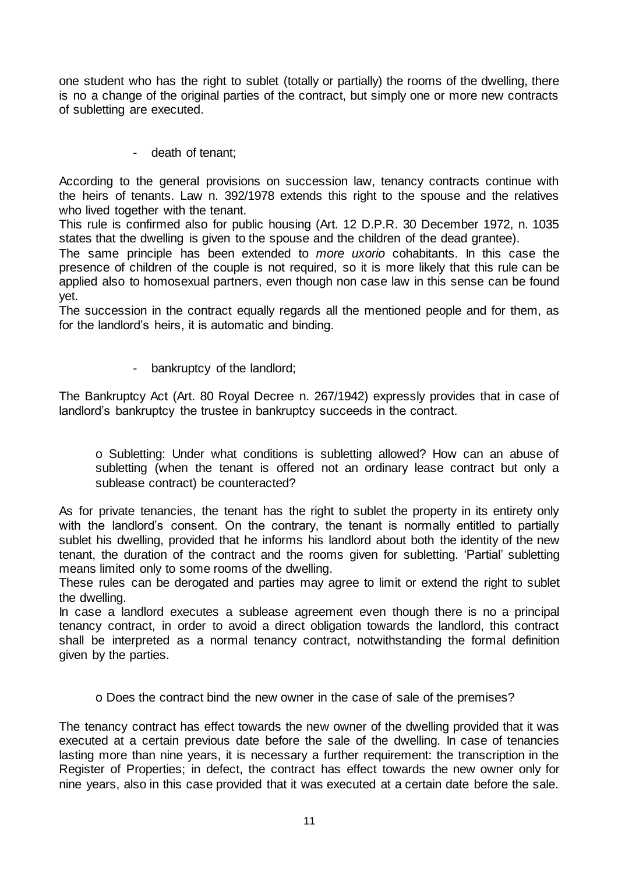one student who has the right to sublet (totally or partially) the rooms of the dwelling, there is no a change of the original parties of the contract, but simply one or more new contracts of subletting are executed.

- death of tenant;

According to the general provisions on succession law, tenancy contracts continue with the heirs of tenants. Law n. 392/1978 extends this right to the spouse and the relatives who lived together with the tenant.

This rule is confirmed also for public housing (Art. 12 D.P.R. 30 December 1972, n. 1035 states that the dwelling is given to the spouse and the children of the dead grantee).

The same principle has been extended to *more uxorio* cohabitants. In this case the presence of children of the couple is not required, so it is more likely that this rule can be applied also to homosexual partners, even though non case law in this sense can be found yet.

The succession in the contract equally regards all the mentioned people and for them, as for the landlord's heirs, it is automatic and binding.

- bankruptcy of the landlord;

The Bankruptcy Act (Art. 80 Royal Decree n. 267/1942) expressly provides that in case of landlord's bankruptcy the trustee in bankruptcy succeeds in the contract.

o Subletting: Under what conditions is subletting allowed? How can an abuse of subletting (when the tenant is offered not an ordinary lease contract but only a sublease contract) be counteracted?

As for private tenancies, the tenant has the right to sublet the property in its entirety only with the landlord's consent. On the contrary, the tenant is normally entitled to partially sublet his dwelling, provided that he informs his landlord about both the identity of the new tenant, the duration of the contract and the rooms given for subletting. 'Partial' subletting means limited only to some rooms of the dwelling.

These rules can be derogated and parties may agree to limit or extend the right to sublet the dwelling.

In case a landlord executes a sublease agreement even though there is no a principal tenancy contract, in order to avoid a direct obligation towards the landlord, this contract shall be interpreted as a normal tenancy contract, notwithstanding the formal definition given by the parties.

o Does the contract bind the new owner in the case of sale of the premises?

The tenancy contract has effect towards the new owner of the dwelling provided that it was executed at a certain previous date before the sale of the dwelling. In case of tenancies lasting more than nine years, it is necessary a further requirement: the transcription in the Register of Properties; in defect, the contract has effect towards the new owner only for nine years, also in this case provided that it was executed at a certain date before the sale.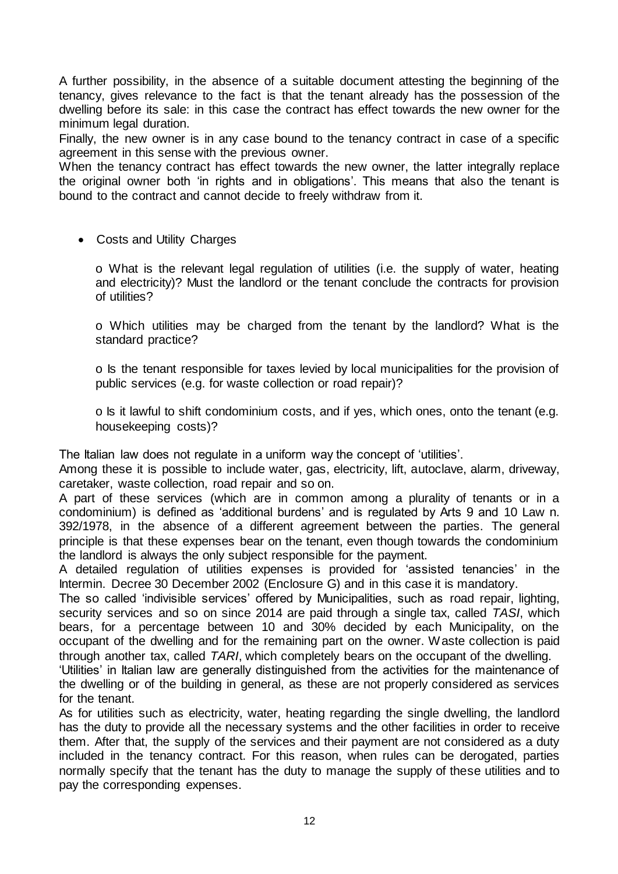A further possibility, in the absence of a suitable document attesting the beginning of the tenancy, gives relevance to the fact is that the tenant already has the possession of the dwelling before its sale: in this case the contract has effect towards the new owner for the minimum legal duration.

Finally, the new owner is in any case bound to the tenancy contract in case of a specific agreement in this sense with the previous owner.

When the tenancy contract has effect towards the new owner, the latter integrally replace the original owner both 'in rights and in obligations'. This means that also the tenant is bound to the contract and cannot decide to freely withdraw from it.

Costs and Utility Charges

o What is the relevant legal regulation of utilities (i.e. the supply of water, heating and electricity)? Must the landlord or the tenant conclude the contracts for provision of utilities?

o Which utilities may be charged from the tenant by the landlord? What is the standard practice?

o Is the tenant responsible for taxes levied by local municipalities for the provision of public services (e.g. for waste collection or road repair)?

o Is it lawful to shift condominium costs, and if yes, which ones, onto the tenant (e.g. housekeeping costs)?

The Italian law does not regulate in a uniform way the concept of 'utilities'.

Among these it is possible to include water, gas, electricity, lift, autoclave, alarm, driveway, caretaker, waste collection, road repair and so on.

A part of these services (which are in common among a plurality of tenants or in a condominium) is defined as 'additional burdens' and is regulated by Arts 9 and 10 Law n. 392/1978, in the absence of a different agreement between the parties. The general principle is that these expenses bear on the tenant, even though towards the condominium the landlord is always the only subject responsible for the payment.

A detailed regulation of utilities expenses is provided for 'assisted tenancies' in the Intermin. Decree 30 December 2002 (Enclosure G) and in this case it is mandatory.

The so called 'indivisible services' offered by Municipalities, such as road repair, lighting, security services and so on since 2014 are paid through a single tax, called *TASI*, which bears, for a percentage between 10 and 30% decided by each Municipality, on the occupant of the dwelling and for the remaining part on the owner. Waste collection is paid through another tax, called *TARI*, which completely bears on the occupant of the dwelling.

'Utilities' in Italian law are generally distinguished from the activities for the maintenance of the dwelling or of the building in general, as these are not properly considered as services for the tenant.

As for utilities such as electricity, water, heating regarding the single dwelling, the landlord has the duty to provide all the necessary systems and the other facilities in order to receive them. After that, the supply of the services and their payment are not considered as a duty included in the tenancy contract. For this reason, when rules can be derogated, parties normally specify that the tenant has the duty to manage the supply of these utilities and to pay the corresponding expenses.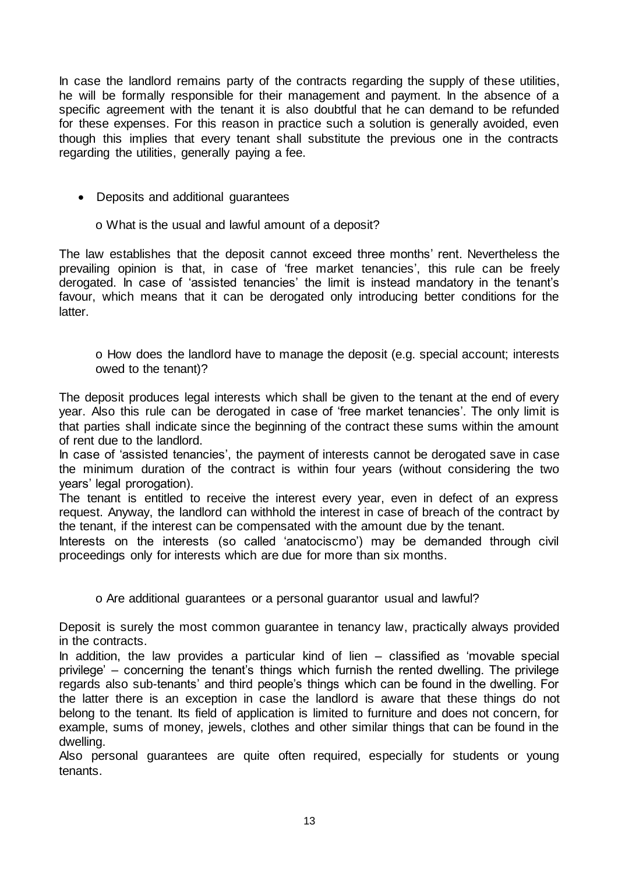In case the landlord remains party of the contracts regarding the supply of these utilities, he will be formally responsible for their management and payment. In the absence of a specific agreement with the tenant it is also doubtful that he can demand to be refunded for these expenses. For this reason in practice such a solution is generally avoided, even though this implies that every tenant shall substitute the previous one in the contracts regarding the utilities, generally paying a fee.

- Deposits and additional guarantees
	- o What is the usual and lawful amount of a deposit?

The law establishes that the deposit cannot exceed three months' rent. Nevertheless the prevailing opinion is that, in case of 'free market tenancies', this rule can be freely derogated. In case of 'assisted tenancies' the limit is instead mandatory in the tenant's favour, which means that it can be derogated only introducing better conditions for the latter.

o How does the landlord have to manage the deposit (e.g. special account; interests owed to the tenant)?

The deposit produces legal interests which shall be given to the tenant at the end of every year. Also this rule can be derogated in case of 'free market tenancies'. The only limit is that parties shall indicate since the beginning of the contract these sums within the amount of rent due to the landlord.

In case of 'assisted tenancies', the payment of interests cannot be derogated save in case the minimum duration of the contract is within four years (without considering the two years' legal prorogation).

The tenant is entitled to receive the interest every year, even in defect of an express request. Anyway, the landlord can withhold the interest in case of breach of the contract by the tenant, if the interest can be compensated with the amount due by the tenant.

Interests on the interests (so called 'anatociscmo') may be demanded through civil proceedings only for interests which are due for more than six months.

o Are additional guarantees or a personal guarantor usual and lawful?

Deposit is surely the most common guarantee in tenancy law, practically always provided in the contracts.

In addition, the law provides a particular kind of lien – classified as 'movable special privilege' – concerning the tenant's things which furnish the rented dwelling. The privilege regards also sub-tenants' and third people's things which can be found in the dwelling. For the latter there is an exception in case the landlord is aware that these things do not belong to the tenant. Its field of application is limited to furniture and does not concern, for example, sums of money, jewels, clothes and other similar things that can be found in the dwelling.

Also personal guarantees are quite often required, especially for students or young tenants.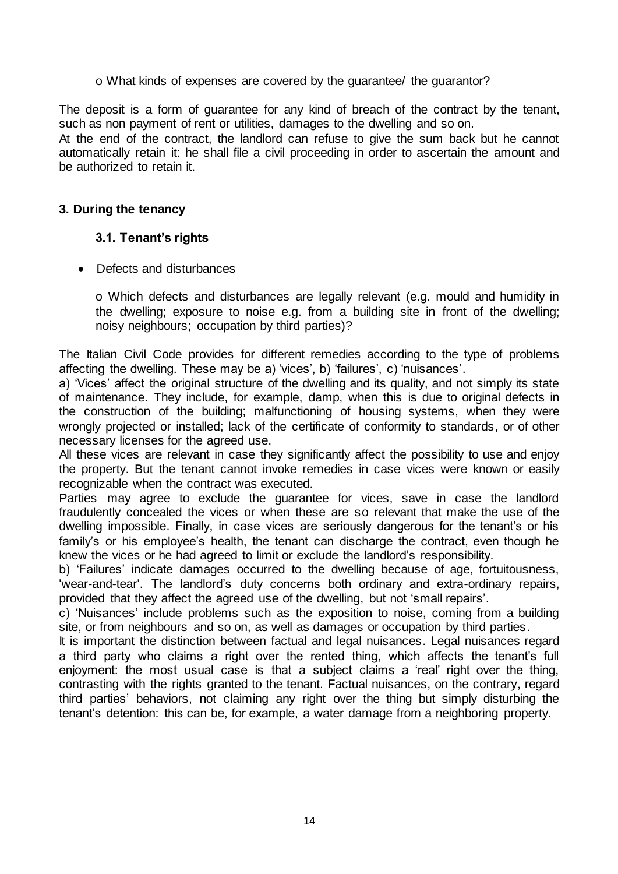o What kinds of expenses are covered by the guarantee/ the guarantor?

The deposit is a form of quarantee for any kind of breach of the contract by the tenant, such as non payment of rent or utilities, damages to the dwelling and so on.

At the end of the contract, the landlord can refuse to give the sum back but he cannot automatically retain it: he shall file a civil proceeding in order to ascertain the amount and be authorized to retain it.

#### **3. During the tenancy**

#### **3.1. Tenant's rights**

• Defects and disturbances

o Which defects and disturbances are legally relevant (e.g. mould and humidity in the dwelling; exposure to noise e.g. from a building site in front of the dwelling; noisy neighbours; occupation by third parties)?

The Italian Civil Code provides for different remedies according to the type of problems affecting the dwelling. These may be a) 'vices', b) 'failures', c) 'nuisances'.

a) 'Vices' affect the original structure of the dwelling and its quality, and not simply its state of maintenance. They include, for example, damp, when this is due to original defects in the construction of the building; malfunctioning of housing systems, when they were wrongly projected or installed; lack of the certificate of conformity to standards, or of other necessary licenses for the agreed use.

All these vices are relevant in case they significantly affect the possibility to use and enjoy the property. But the tenant cannot invoke remedies in case vices were known or easily recognizable when the contract was executed.

Parties may agree to exclude the guarantee for vices, save in case the landlord fraudulently concealed the vices or when these are so relevant that make the use of the dwelling impossible. Finally, in case vices are seriously dangerous for the tenant's or his family's or his employee's health, the tenant can discharge the contract, even though he knew the vices or he had agreed to limit or exclude the landlord's responsibility.

b) 'Failures' indicate damages occurred to the dwelling because of age, fortuitousness, 'wear-and-tear'. The landlord's duty concerns both ordinary and extra-ordinary repairs, provided that they affect the agreed use of the dwelling, but not 'small repairs'.

c) 'Nuisances' include problems such as the exposition to noise, coming from a building site, or from neighbours and so on, as well as damages or occupation by third parties.

It is important the distinction between factual and legal nuisances. Legal nuisances regard a third party who claims a right over the rented thing, which affects the tenant's full enjoyment: the most usual case is that a subject claims a 'real' right over the thing, contrasting with the rights granted to the tenant. Factual nuisances, on the contrary, regard third parties' behaviors, not claiming any right over the thing but simply disturbing the tenant's detention: this can be, for example, a water damage from a neighboring property.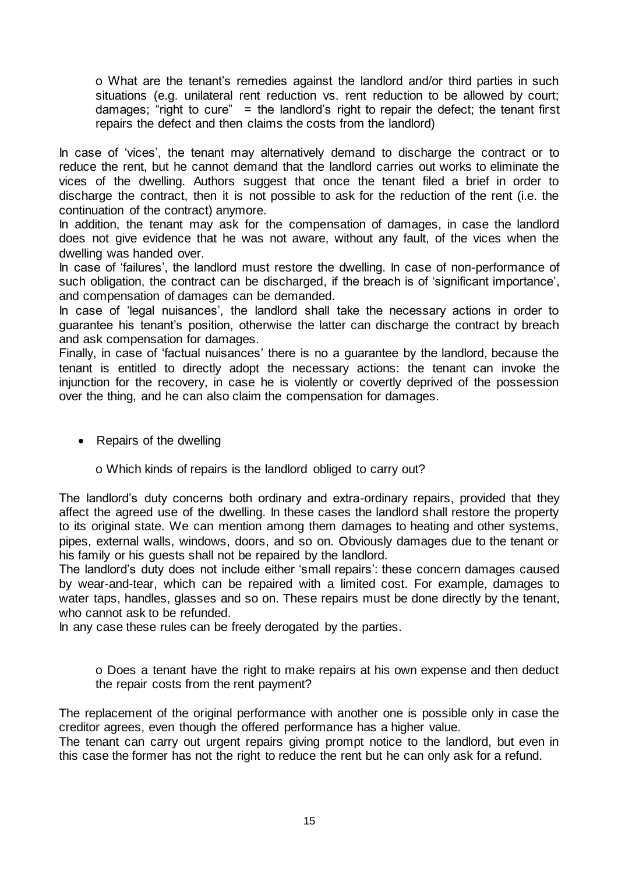o What are the tenant's remedies against the landlord and/or third parties in such situations (e.g. unilateral rent reduction vs. rent reduction to be allowed by court; damages; "right to cure" = the landlord's right to repair the defect; the tenant first repairs the defect and then claims the costs from the landlord)

In case of 'vices', the tenant may alternatively demand to discharge the contract or to reduce the rent, but he cannot demand that the landlord carries out works to eliminate the vices of the dwelling. Authors suggest that once the tenant filed a brief in order to discharge the contract, then it is not possible to ask for the reduction of the rent (i.e. the continuation of the contract) anymore.

In addition, the tenant may ask for the compensation of damages, in case the landlord does not give evidence that he was not aware, without any fault, of the vices when the dwelling was handed over.

In case of 'failures', the landlord must restore the dwelling. In case of non-performance of such obligation, the contract can be discharged, if the breach is of 'significant importance', and compensation of damages can be demanded.

In case of 'legal nuisances', the landlord shall take the necessary actions in order to guarantee his tenant's position, otherwise the latter can discharge the contract by breach and ask compensation for damages.

Finally, in case of 'factual nuisances' there is no a guarantee by the landlord, because the tenant is entitled to directly adopt the necessary actions: the tenant can invoke the injunction for the recovery, in case he is violently or covertly deprived of the possession over the thing, and he can also claim the compensation for damages.

- Repairs of the dwelling
	- o Which kinds of repairs is the landlord obliged to carry out?

The landlord's duty concerns both ordinary and extra-ordinary repairs, provided that they affect the agreed use of the dwelling. In these cases the landlord shall restore the property to its original state. We can mention among them damages to heating and other systems, pipes, external walls, windows, doors, and so on. Obviously damages due to the tenant or his family or his guests shall not be repaired by the landlord.

The landlord's duty does not include either 'small repairs': these concern damages caused by wear-and-tear, which can be repaired with a limited cost. For example, damages to water taps, handles, glasses and so on. These repairs must be done directly by the tenant, who cannot ask to be refunded.

In any case these rules can be freely derogated by the parties.

o Does a tenant have the right to make repairs at his own expense and then deduct the repair costs from the rent payment?

The replacement of the original performance with another one is possible only in case the creditor agrees, even though the offered performance has a higher value.

The tenant can carry out urgent repairs giving prompt notice to the landlord, but even in this case the former has not the right to reduce the rent but he can only ask for a refund.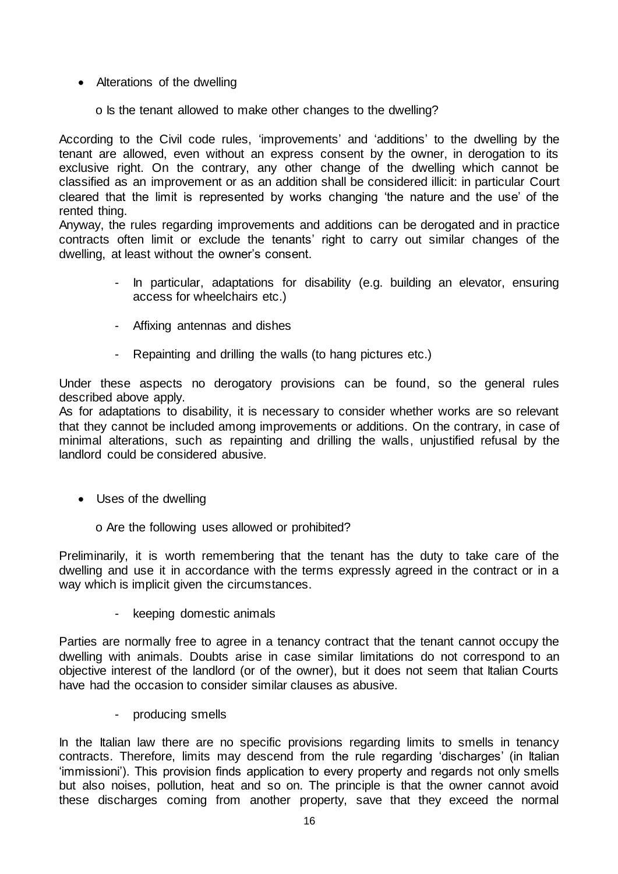- Alterations of the dwelling
	- o Is the tenant allowed to make other changes to the dwelling?

According to the Civil code rules, 'improvements' and 'additions' to the dwelling by the tenant are allowed, even without an express consent by the owner, in derogation to its exclusive right. On the contrary, any other change of the dwelling which cannot be classified as an improvement or as an addition shall be considered illicit: in particular Court cleared that the limit is represented by works changing 'the nature and the use' of the rented thing.

Anyway, the rules regarding improvements and additions can be derogated and in practice contracts often limit or exclude the tenants' right to carry out similar changes of the dwelling, at least without the owner's consent.

- In particular, adaptations for disability (e.g. building an elevator, ensuring access for wheelchairs etc.)
- Affixing antennas and dishes
- Repainting and drilling the walls (to hang pictures etc.)

Under these aspects no derogatory provisions can be found, so the general rules described above apply.

As for adaptations to disability, it is necessary to consider whether works are so relevant that they cannot be included among improvements or additions. On the contrary, in case of minimal alterations, such as repainting and drilling the walls, unjustified refusal by the landlord could be considered abusive.

- Uses of the dwelling
	- o Are the following uses allowed or prohibited?

Preliminarily, it is worth remembering that the tenant has the duty to take care of the dwelling and use it in accordance with the terms expressly agreed in the contract or in a way which is implicit given the circumstances.

- keeping domestic animals

Parties are normally free to agree in a tenancy contract that the tenant cannot occupy the dwelling with animals. Doubts arise in case similar limitations do not correspond to an objective interest of the landlord (or of the owner), but it does not seem that Italian Courts have had the occasion to consider similar clauses as abusive.

- producing smells

In the Italian law there are no specific provisions regarding limits to smells in tenancy contracts. Therefore, limits may descend from the rule regarding 'discharges' (in Italian 'immissioni'). This provision finds application to every property and regards not only smells but also noises, pollution, heat and so on. The principle is that the owner cannot avoid these discharges coming from another property, save that they exceed the normal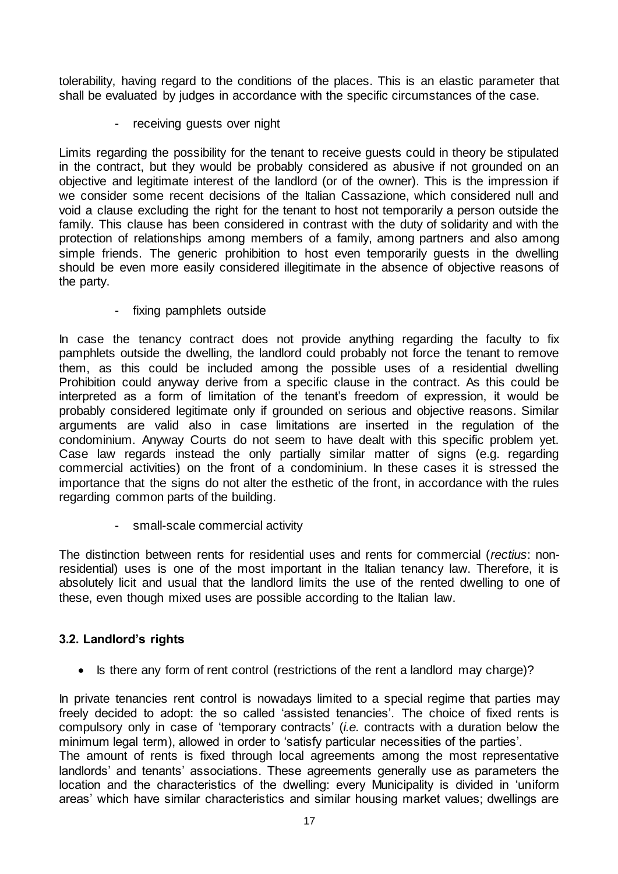tolerability, having regard to the conditions of the places. This is an elastic parameter that shall be evaluated by judges in accordance with the specific circumstances of the case.

- receiving guests over night

Limits regarding the possibility for the tenant to receive guests could in theory be stipulated in the contract, but they would be probably considered as abusive if not grounded on an objective and legitimate interest of the landlord (or of the owner). This is the impression if we consider some recent decisions of the Italian Cassazione, which considered null and void a clause excluding the right for the tenant to host not temporarily a person outside the family. This clause has been considered in contrast with the duty of solidarity and with the protection of relationships among members of a family, among partners and also among simple friends. The generic prohibition to host even temporarily guests in the dwelling should be even more easily considered illegitimate in the absence of objective reasons of the party.

- fixing pamphlets outside

In case the tenancy contract does not provide anything regarding the faculty to fix pamphlets outside the dwelling, the landlord could probably not force the tenant to remove them, as this could be included among the possible uses of a residential dwelling Prohibition could anyway derive from a specific clause in the contract. As this could be interpreted as a form of limitation of the tenant's freedom of expression, it would be probably considered legitimate only if grounded on serious and objective reasons. Similar arguments are valid also in case limitations are inserted in the regulation of the condominium. Anyway Courts do not seem to have dealt with this specific problem yet. Case law regards instead the only partially similar matter of signs (e.g. regarding commercial activities) on the front of a condominium. In these cases it is stressed the importance that the signs do not alter the esthetic of the front, in accordance with the rules regarding common parts of the building.

- small-scale commercial activity

The distinction between rents for residential uses and rents for commercial (*rectius*: nonresidential) uses is one of the most important in the Italian tenancy law. Therefore, it is absolutely licit and usual that the landlord limits the use of the rented dwelling to one of these, even though mixed uses are possible according to the Italian law.

# **3.2. Landlord's rights**

• Is there any form of rent control (restrictions of the rent a landlord may charge)?

In private tenancies rent control is nowadays limited to a special regime that parties may freely decided to adopt: the so called 'assisted tenancies'. The choice of fixed rents is compulsory only in case of 'temporary contracts' (*i.e.* contracts with a duration below the minimum legal term), allowed in order to 'satisfy particular necessities of the parties'.

The amount of rents is fixed through local agreements among the most representative landlords' and tenants' associations. These agreements generally use as parameters the location and the characteristics of the dwelling: every Municipality is divided in 'uniform areas' which have similar characteristics and similar housing market values; dwellings are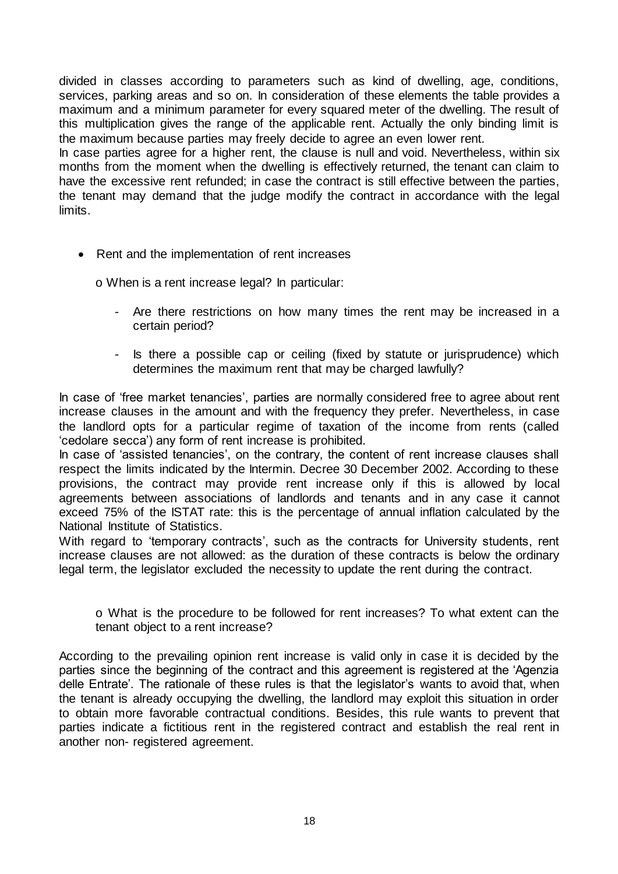divided in classes according to parameters such as kind of dwelling, age, conditions, services, parking areas and so on. In consideration of these elements the table provides a maximum and a minimum parameter for every squared meter of the dwelling. The result of this multiplication gives the range of the applicable rent. Actually the only binding limit is the maximum because parties may freely decide to agree an even lower rent.

In case parties agree for a higher rent, the clause is null and void. Nevertheless, within six months from the moment when the dwelling is effectively returned, the tenant can claim to have the excessive rent refunded; in case the contract is still effective between the parties, the tenant may demand that the judge modify the contract in accordance with the legal limits.

• Rent and the implementation of rent increases

o When is a rent increase legal? In particular:

- Are there restrictions on how many times the rent may be increased in a certain period?
- Is there a possible cap or ceiling (fixed by statute or jurisprudence) which determines the maximum rent that may be charged lawfully?

In case of 'free market tenancies', parties are normally considered free to agree about rent increase clauses in the amount and with the frequency they prefer. Nevertheless, in case the landlord opts for a particular regime of taxation of the income from rents (called 'cedolare secca') any form of rent increase is prohibited.

In case of 'assisted tenancies', on the contrary, the content of rent increase clauses shall respect the limits indicated by the Intermin. Decree 30 December 2002. According to these provisions, the contract may provide rent increase only if this is allowed by local agreements between associations of landlords and tenants and in any case it cannot exceed 75% of the ISTAT rate: this is the percentage of annual inflation calculated by the National Institute of Statistics.

With regard to 'temporary contracts', such as the contracts for University students, rent increase clauses are not allowed: as the duration of these contracts is below the ordinary legal term, the legislator excluded the necessity to update the rent during the contract.

o What is the procedure to be followed for rent increases? To what extent can the tenant object to a rent increase?

According to the prevailing opinion rent increase is valid only in case it is decided by the parties since the beginning of the contract and this agreement is registered at the 'Agenzia delle Entrate'. The rationale of these rules is that the legislator's wants to avoid that, when the tenant is already occupying the dwelling, the landlord may exploit this situation in order to obtain more favorable contractual conditions. Besides, this rule wants to prevent that parties indicate a fictitious rent in the registered contract and establish the real rent in another non- registered agreement.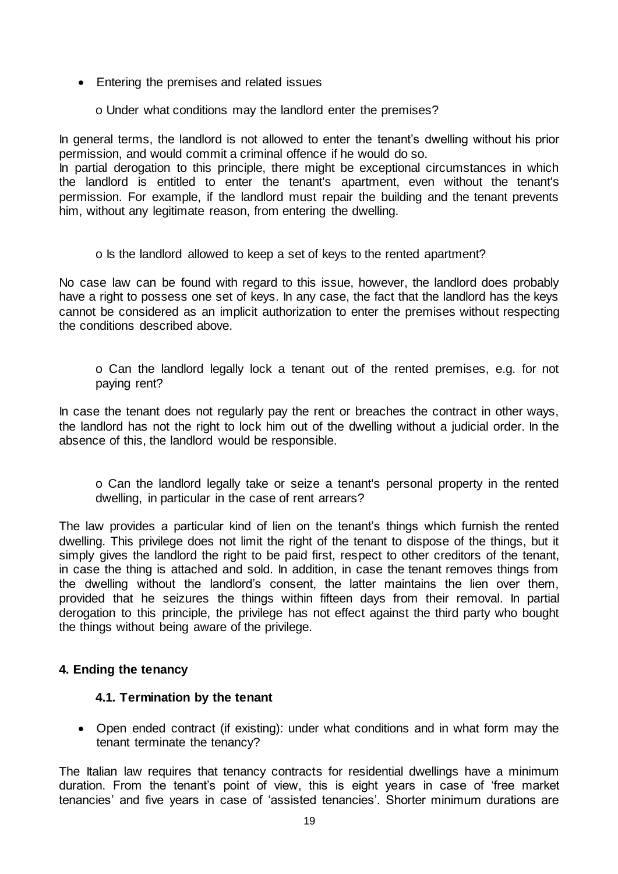- Entering the premises and related issues
	- o Under what conditions may the landlord enter the premises?

In general terms, the landlord is not allowed to enter the tenant's dwelling without his prior permission, and would commit a criminal offence if he would do so.

In partial derogation to this principle, there might be exceptional circumstances in which the landlord is entitled to enter the tenant's apartment, even without the tenant's permission. For example, if the landlord must repair the building and the tenant prevents him, without any legitimate reason, from entering the dwelling.

o Is the landlord allowed to keep a set of keys to the rented apartment?

No case law can be found with regard to this issue, however, the landlord does probably have a right to possess one set of keys. In any case, the fact that the landlord has the keys cannot be considered as an implicit authorization to enter the premises without respecting the conditions described above.

o Can the landlord legally lock a tenant out of the rented premises, e.g. for not paying rent?

In case the tenant does not regularly pay the rent or breaches the contract in other ways, the landlord has not the right to lock him out of the dwelling without a judicial order. In the absence of this, the landlord would be responsible.

o Can the landlord legally take or seize a tenant's personal property in the rented dwelling, in particular in the case of rent arrears?

The law provides a particular kind of lien on the tenant's things which furnish the rented dwelling. This privilege does not limit the right of the tenant to dispose of the things, but it simply gives the landlord the right to be paid first, respect to other creditors of the tenant, in case the thing is attached and sold. In addition, in case the tenant removes things from the dwelling without the landlord's consent, the latter maintains the lien over them, provided that he seizures the things within fifteen days from their removal. In partial derogation to this principle, the privilege has not effect against the third party who bought the things without being aware of the privilege.

# **4. Ending the tenancy**

#### **4.1. Termination by the tenant**

 Open ended contract (if existing): under what conditions and in what form may the tenant terminate the tenancy?

The Italian law requires that tenancy contracts for residential dwellings have a minimum duration. From the tenant's point of view, this is eight years in case of 'free market tenancies' and five years in case of 'assisted tenancies'. Shorter minimum durations are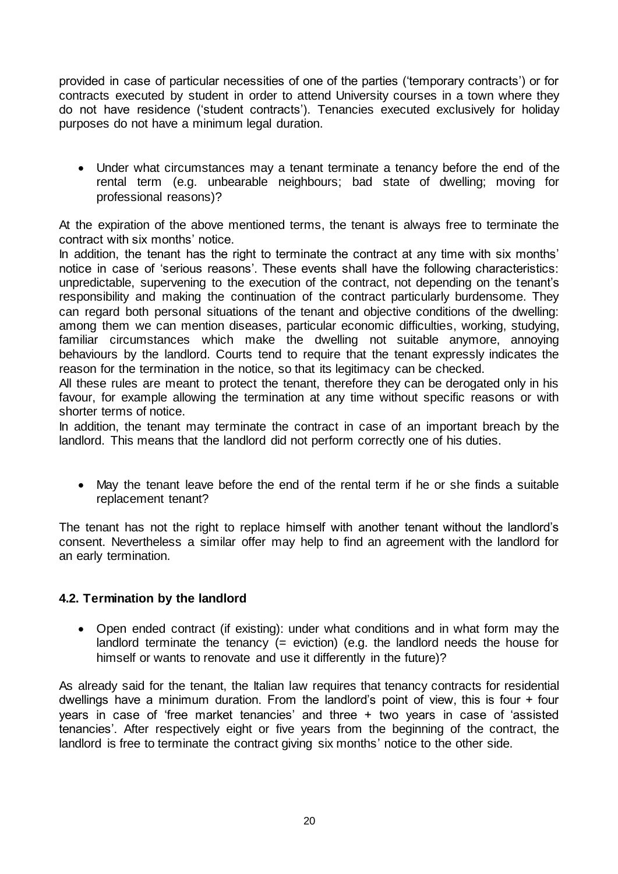provided in case of particular necessities of one of the parties ('temporary contracts') or for contracts executed by student in order to attend University courses in a town where they do not have residence ('student contracts'). Tenancies executed exclusively for holiday purposes do not have a minimum legal duration.

 Under what circumstances may a tenant terminate a tenancy before the end of the rental term (e.g. unbearable neighbours; bad state of dwelling; moving for professional reasons)?

At the expiration of the above mentioned terms, the tenant is always free to terminate the contract with six months' notice.

In addition, the tenant has the right to terminate the contract at any time with six months' notice in case of 'serious reasons'. These events shall have the following characteristics: unpredictable, supervening to the execution of the contract, not depending on the tenant's responsibility and making the continuation of the contract particularly burdensome. They can regard both personal situations of the tenant and objective conditions of the dwelling: among them we can mention diseases, particular economic difficulties, working, studying, familiar circumstances which make the dwelling not suitable anymore, annoying behaviours by the landlord. Courts tend to require that the tenant expressly indicates the reason for the termination in the notice, so that its legitimacy can be checked.

All these rules are meant to protect the tenant, therefore they can be derogated only in his favour, for example allowing the termination at any time without specific reasons or with shorter terms of notice.

In addition, the tenant may terminate the contract in case of an important breach by the landlord. This means that the landlord did not perform correctly one of his duties.

 May the tenant leave before the end of the rental term if he or she finds a suitable replacement tenant?

The tenant has not the right to replace himself with another tenant without the landlord's consent. Nevertheless a similar offer may help to find an agreement with the landlord for an early termination.

# **4.2. Termination by the landlord**

 Open ended contract (if existing): under what conditions and in what form may the landlord terminate the tenancy (= eviction) (e.g. the landlord needs the house for himself or wants to renovate and use it differently in the future)?

As already said for the tenant, the Italian law requires that tenancy contracts for residential dwellings have a minimum duration. From the landlord's point of view, this is four + four years in case of 'free market tenancies' and three + two years in case of 'assisted tenancies'. After respectively eight or five years from the beginning of the contract, the landlord is free to terminate the contract giving six months' notice to the other side.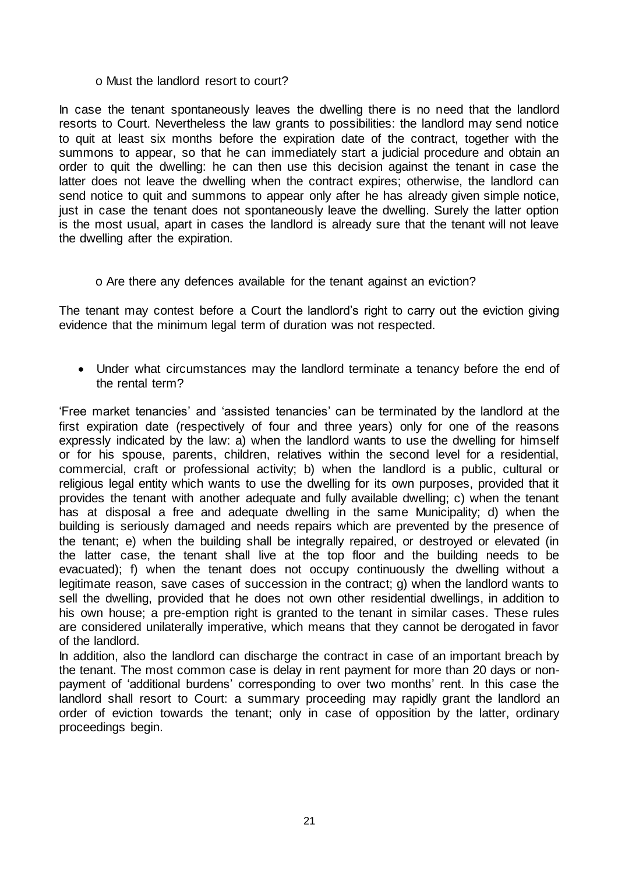#### o Must the landlord resort to court?

In case the tenant spontaneously leaves the dwelling there is no need that the landlord resorts to Court. Nevertheless the law grants to possibilities: the landlord may send notice to quit at least six months before the expiration date of the contract, together with the summons to appear, so that he can immediately start a judicial procedure and obtain an order to quit the dwelling: he can then use this decision against the tenant in case the latter does not leave the dwelling when the contract expires; otherwise, the landlord can send notice to quit and summons to appear only after he has already given simple notice, just in case the tenant does not spontaneously leave the dwelling. Surely the latter option is the most usual, apart in cases the landlord is already sure that the tenant will not leave the dwelling after the expiration.

#### o Are there any defences available for the tenant against an eviction?

The tenant may contest before a Court the landlord's right to carry out the eviction giving evidence that the minimum legal term of duration was not respected.

 Under what circumstances may the landlord terminate a tenancy before the end of the rental term?

'Free market tenancies' and 'assisted tenancies' can be terminated by the landlord at the first expiration date (respectively of four and three years) only for one of the reasons expressly indicated by the law: a) when the landlord wants to use the dwelling for himself or for his spouse, parents, children, relatives within the second level for a residential, commercial, craft or professional activity; b) when the landlord is a public, cultural or religious legal entity which wants to use the dwelling for its own purposes, provided that it provides the tenant with another adequate and fully available dwelling; c) when the tenant has at disposal a free and adequate dwelling in the same Municipality; d) when the building is seriously damaged and needs repairs which are prevented by the presence of the tenant; e) when the building shall be integrally repaired, or destroyed or elevated (in the latter case, the tenant shall live at the top floor and the building needs to be evacuated); f) when the tenant does not occupy continuously the dwelling without a legitimate reason, save cases of succession in the contract; g) when the landlord wants to sell the dwelling, provided that he does not own other residential dwellings, in addition to his own house; a pre-emption right is granted to the tenant in similar cases. These rules are considered unilaterally imperative, which means that they cannot be derogated in favor of the landlord.

In addition, also the landlord can discharge the contract in case of an important breach by the tenant. The most common case is delay in rent payment for more than 20 days or nonpayment of 'additional burdens' corresponding to over two months' rent. In this case the landlord shall resort to Court: a summary proceeding may rapidly grant the landlord an order of eviction towards the tenant; only in case of opposition by the latter, ordinary proceedings begin.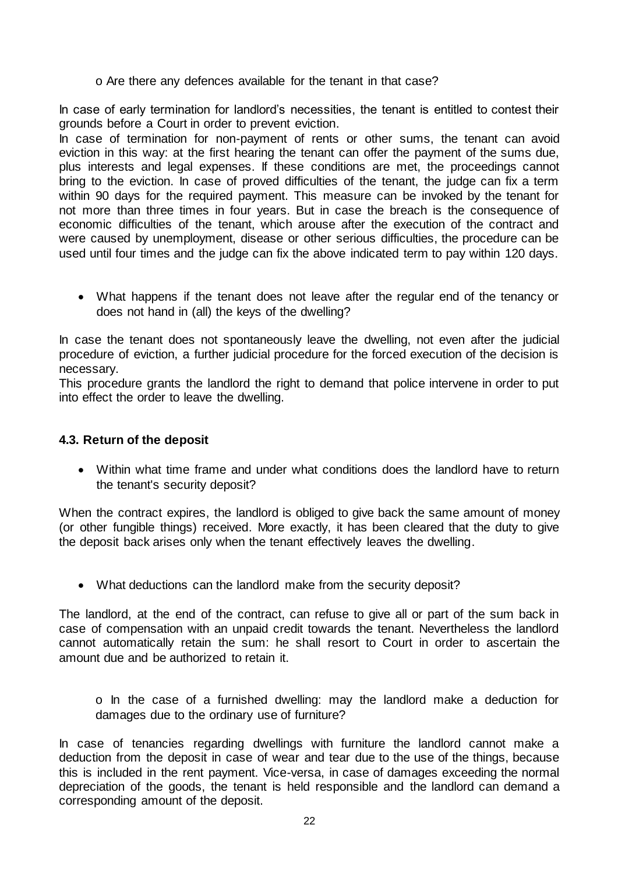o Are there any defences available for the tenant in that case?

In case of early termination for landlord's necessities, the tenant is entitled to contest their grounds before a Court in order to prevent eviction.

In case of termination for non-payment of rents or other sums, the tenant can avoid eviction in this way: at the first hearing the tenant can offer the payment of the sums due, plus interests and legal expenses. If these conditions are met, the proceedings cannot bring to the eviction. In case of proved difficulties of the tenant, the judge can fix a term within 90 days for the required payment. This measure can be invoked by the tenant for not more than three times in four years. But in case the breach is the consequence of economic difficulties of the tenant, which arouse after the execution of the contract and were caused by unemployment, disease or other serious difficulties, the procedure can be used until four times and the judge can fix the above indicated term to pay within 120 days.

 What happens if the tenant does not leave after the regular end of the tenancy or does not hand in (all) the keys of the dwelling?

In case the tenant does not spontaneously leave the dwelling, not even after the judicial procedure of eviction, a further judicial procedure for the forced execution of the decision is necessary.

This procedure grants the landlord the right to demand that police intervene in order to put into effect the order to leave the dwelling.

#### **4.3. Return of the deposit**

 Within what time frame and under what conditions does the landlord have to return the tenant's security deposit?

When the contract expires, the landlord is obliged to give back the same amount of money (or other fungible things) received. More exactly, it has been cleared that the duty to give the deposit back arises only when the tenant effectively leaves the dwelling.

What deductions can the landlord make from the security deposit?

The landlord, at the end of the contract, can refuse to give all or part of the sum back in case of compensation with an unpaid credit towards the tenant. Nevertheless the landlord cannot automatically retain the sum: he shall resort to Court in order to ascertain the amount due and be authorized to retain it.

o In the case of a furnished dwelling: may the landlord make a deduction for damages due to the ordinary use of furniture?

In case of tenancies regarding dwellings with furniture the landlord cannot make a deduction from the deposit in case of wear and tear due to the use of the things, because this is included in the rent payment. Vice-versa, in case of damages exceeding the normal depreciation of the goods, the tenant is held responsible and the landlord can demand a corresponding amount of the deposit.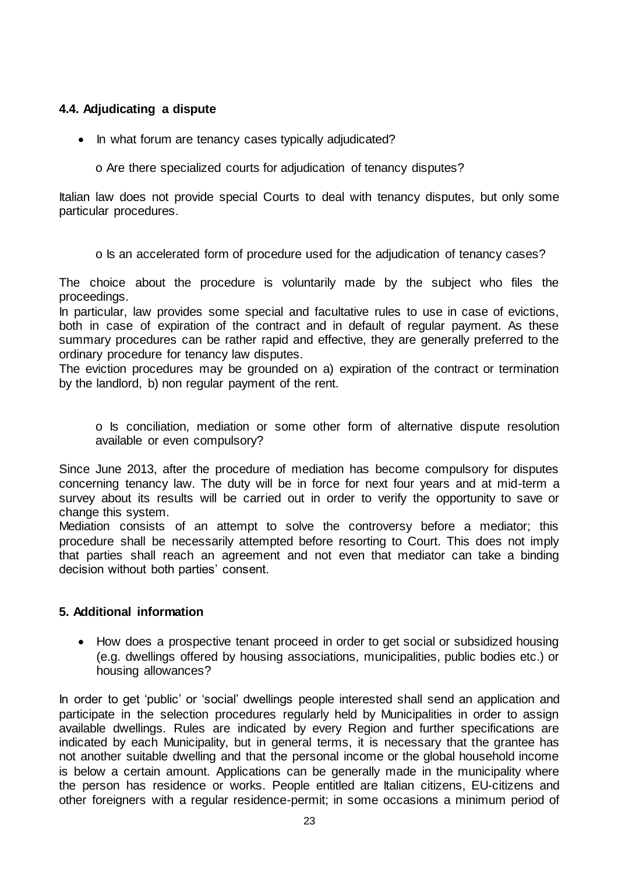### **4.4. Adjudicating a dispute**

• In what forum are tenancy cases typically adjudicated?

o Are there specialized courts for adjudication of tenancy disputes?

Italian law does not provide special Courts to deal with tenancy disputes, but only some particular procedures.

o Is an accelerated form of procedure used for the adjudication of tenancy cases?

The choice about the procedure is voluntarily made by the subject who files the proceedings.

In particular, law provides some special and facultative rules to use in case of evictions, both in case of expiration of the contract and in default of regular payment. As these summary procedures can be rather rapid and effective, they are generally preferred to the ordinary procedure for tenancy law disputes.

The eviction procedures may be grounded on a) expiration of the contract or termination by the landlord, b) non regular payment of the rent.

o Is conciliation, mediation or some other form of alternative dispute resolution available or even compulsory?

Since June 2013, after the procedure of mediation has become compulsory for disputes concerning tenancy law. The duty will be in force for next four years and at mid-term a survey about its results will be carried out in order to verify the opportunity to save or change this system.

Mediation consists of an attempt to solve the controversy before a mediator; this procedure shall be necessarily attempted before resorting to Court. This does not imply that parties shall reach an agreement and not even that mediator can take a binding decision without both parties' consent.

#### **5. Additional information**

 How does a prospective tenant proceed in order to get social or subsidized housing (e.g. dwellings offered by housing associations, municipalities, public bodies etc.) or housing allowances?

In order to get 'public' or 'social' dwellings people interested shall send an application and participate in the selection procedures regularly held by Municipalities in order to assign available dwellings. Rules are indicated by every Region and further specifications are indicated by each Municipality, but in general terms, it is necessary that the grantee has not another suitable dwelling and that the personal income or the global household income is below a certain amount. Applications can be generally made in the municipality where the person has residence or works. People entitled are Italian citizens, EU-citizens and other foreigners with a regular residence-permit; in some occasions a minimum period of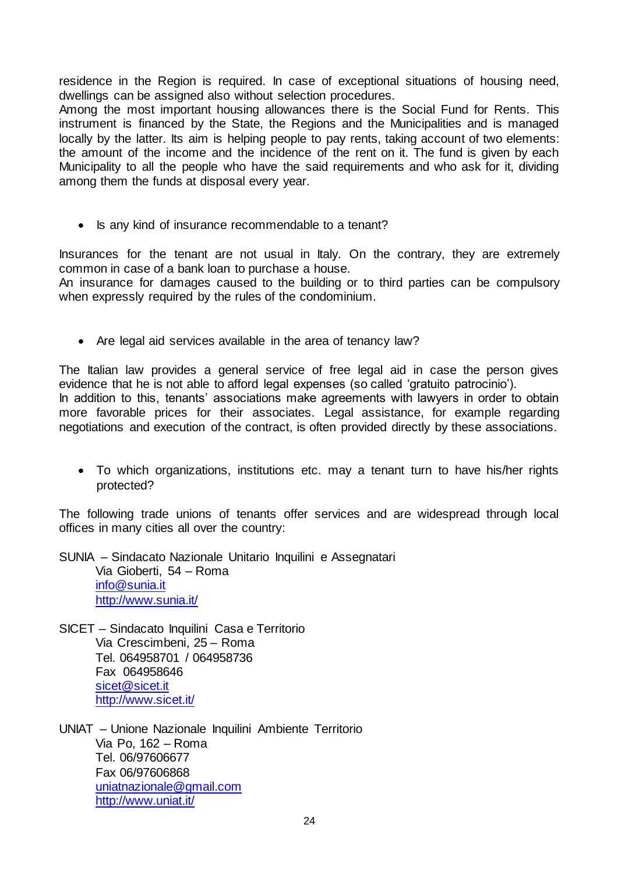residence in the Region is required. In case of exceptional situations of housing need, dwellings can be assigned also without selection procedures.

Among the most important housing allowances there is the Social Fund for Rents. This instrument is financed by the State, the Regions and the Municipalities and is managed locally by the latter. Its aim is helping people to pay rents, taking account of two elements: the amount of the income and the incidence of the rent on it. The fund is given by each Municipality to all the people who have the said requirements and who ask for it, dividing among them the funds at disposal every year.

• Is any kind of insurance recommendable to a tenant?

Insurances for the tenant are not usual in Italy. On the contrary, they are extremely common in case of a bank loan to purchase a house.

An insurance for damages caused to the building or to third parties can be compulsory when expressly required by the rules of the condominium.

• Are legal aid services available in the area of tenancy law?

The Italian law provides a general service of free legal aid in case the person gives evidence that he is not able to afford legal expenses (so called 'gratuito patrocinio'). In addition to this, tenants' associations make agreements with lawyers in order to obtain more favorable prices for their associates. Legal assistance, for example regarding negotiations and execution of the contract, is often provided directly by these associations.

 To which organizations, institutions etc. may a tenant turn to have his/her rights protected?

The following trade unions of tenants offer services and are widespread through local offices in many cities all over the country:

SUNIA – Sindacato Nazionale Unitario Inquilini e Assegnatari Via Gioberti, 54 – Roma [info@sunia.it](mailto:info@sunia.it) <http://www.sunia.it/>

- SICET Sindacato Inquilini Casa e Territorio Via Crescimbeni, 25 – Roma Tel. 064958701 / 064958736 Fax 064958646 [sicet@sicet.it](mailto:sicet@sicet.it) <http://www.sicet.it/>
- UNIAT Unione Nazionale Inquilini Ambiente Territorio Via Po, 162 – Roma Tel. 06/97606677 Fax 06/97606868 [uniatnazionale@gmail.com](mailto:uniatnazionale@gmail.com) <http://www.uniat.it/>